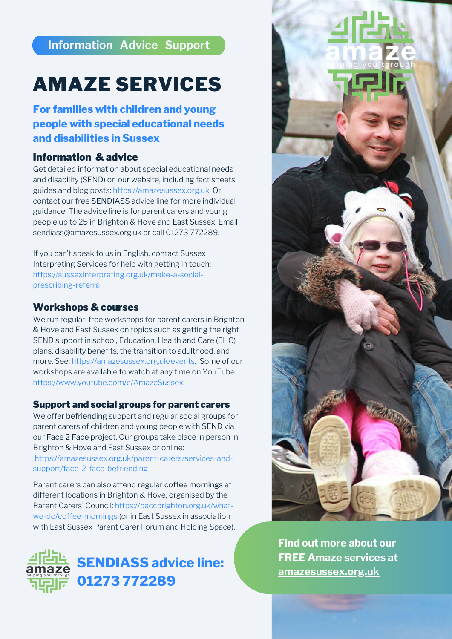# **Information Advice Support**

# Information & advice

Get detailed information about special educational needs and disability (SEND) on our website, including fact sheets, guides and blog posts: [https://amazesussex.org.uk.](https://amazesussex.org.uk/) Or contact our free SENDIASS advice line for more individual guidance. The advice line is for parent carers and young people up to 25 in Brighton & Hove and East Sussex. Email [sendiass@amazesussex.org.uk](mailto:sendiass@amazesussex.org.uk) or call 01273 772289.

If you can't speak to us in English, contact Sussex Interpreting Services for help with getting in touch: [https://sussexinterpreting.org.uk/make-a-social](https://sussexinterpreting.org.uk/make-a-social-prescribing-referral/)prescribing-referral

# Workshops & courses

We run regular, free workshops for parent carers in Brighton & Hove and East Sussex on topics such as getting the right SEND support in school, Education, Health and Care (EHC) plans, disability benefits, the transition to adulthood, and more. See: [https://amazesussex.org.uk/events](https://amazesussex.org.uk/events/). Some of our workshops are available to watch at any time on YouTube: <https://www.youtube.com/c/AmazeSussex>



#### [Support and social groups for parent carers](https://amazesussex.org.uk/parent-carers/services-and-support/face-2-face-befriending/)

We offer befriending support and regular social groups for parent carers of children and young people with SEND via our Face 2 Face project. Our groups take place in person in Brighton & Hove and East Sussex or online: [https://amazesussex.org.uk/parent-carers/services-and](https://amazesussex.org.uk/parent-carers/services-and-support/face-2-face-befriending/)support/face-2-face-befriending

Parent carers can also attend regular coffee mornings at different locations in Brighton & Hove, organised by the [Parent Carers' Council: https://paccbrighton.org.uk/what](https://paccbrighton.org.uk/what-we-do/coffee-mornings/)we-do/coffee-mornings (or in East Sussex in association with East Sussex Parent Carer Forum and Holding Space).

# AMAZE SERVICES

# **For families with children and young people with special educational needs and disabilities in Sussex**



**Find out more about our FREE Amaze services at [amazesussex.org.uk](https://amazesussex.org.uk/)**